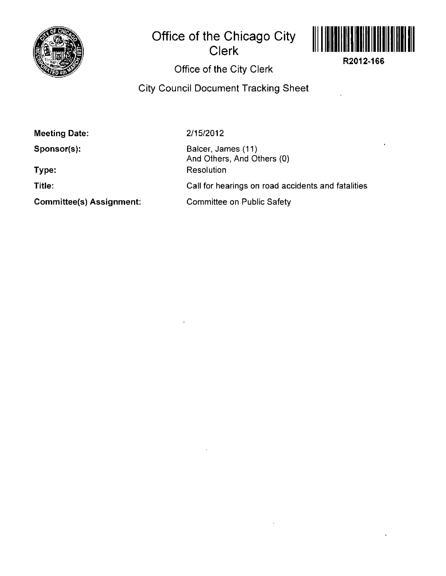

## **Office of the Chicago City Clerk**



**R2012-166** 

## **Office of the City Clerk**

**City Council Document Tracking Sheet** 

**Meeting Date:** 

**Sponsor(s):** 

**Type:** 

**Title:** 

**Commlttee(s) Assignment:** 

2/15/2012

Balcer, James (11) And Others, And Others (0) Resolution Call for hearings on road accidents and fatalities Committee on Public Safety